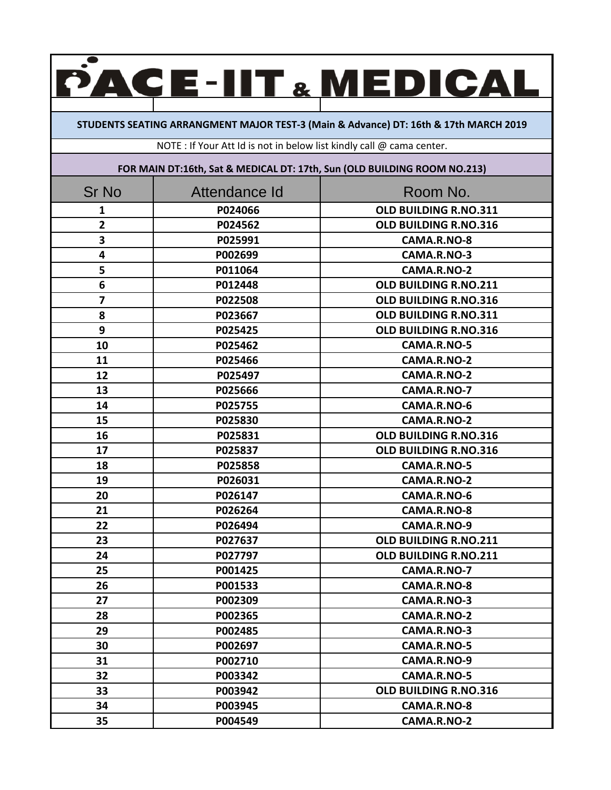## **CE-IIT & MEDICAL**  $\blacktriangle$

**STUDENTS SEATING ARRANGMENT MAJOR TEST‐3 (Main & Advance) DT: 16th & 17th MARCH 2019**

NOTE : If Your Att Id is not in below list kindly call @ cama center.

**FOR MAIN DT:16th, Sat & MEDICAL DT: 17th, Sun (OLD BUILDING ROOM NO.213)**

| <b>Sr No</b>            | Attendance Id | Room No.              |
|-------------------------|---------------|-----------------------|
| 1                       | P024066       | OLD BUILDING R.NO.311 |
| $\overline{\mathbf{2}}$ | P024562       | OLD BUILDING R.NO.316 |
| 3                       | P025991       | CAMA.R.NO-8           |
| 4                       | P002699       | CAMA.R.NO-3           |
| 5                       | P011064       | CAMA.R.NO-2           |
| 6                       | P012448       | OLD BUILDING R.NO.211 |
| 7                       | P022508       | OLD BUILDING R.NO.316 |
| 8                       | P023667       | OLD BUILDING R.NO.311 |
| 9                       | P025425       | OLD BUILDING R.NO.316 |
| 10                      | P025462       | CAMA.R.NO-5           |
| 11                      | P025466       | CAMA.R.NO-2           |
| 12                      | P025497       | CAMA.R.NO-2           |
| 13                      | P025666       | CAMA.R.NO-7           |
| 14                      | P025755       | CAMA.R.NO-6           |
| 15                      | P025830       | CAMA.R.NO-2           |
| 16                      | P025831       | OLD BUILDING R.NO.316 |
| 17                      | P025837       | OLD BUILDING R.NO.316 |
| 18                      | P025858       | CAMA.R.NO-5           |
| 19                      | P026031       | CAMA.R.NO-2           |
| 20                      | P026147       | CAMA.R.NO-6           |
| 21                      | P026264       | CAMA.R.NO-8           |
| 22                      | P026494       | CAMA.R.NO-9           |
| 23                      | P027637       | OLD BUILDING R.NO.211 |
| 24                      | P027797       | OLD BUILDING R.NO.211 |
| 25                      | P001425       | CAMA.R.NO-7           |
| 26                      | P001533       | CAMA.R.NO-8           |
| 27                      | P002309       | CAMA.R.NO-3           |
| 28                      | P002365       | CAMA.R.NO-2           |
| 29                      | P002485       | CAMA.R.NO-3           |
| 30                      | P002697       | CAMA.R.NO-5           |
| 31                      | P002710       | CAMA.R.NO-9           |
| 32                      | P003342       | CAMA.R.NO-5           |
| 33                      | P003942       | OLD BUILDING R.NO.316 |
| 34                      | P003945       | CAMA.R.NO-8           |
| 35                      | P004549       | CAMA.R.NO-2           |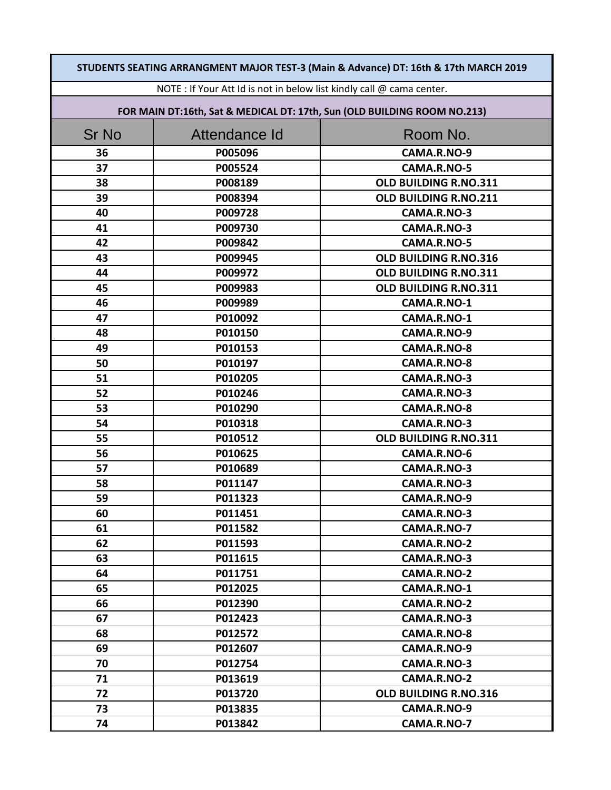| STUDENTS SEATING ARRANGMENT MAJOR TEST-3 (Main & Advance) DT: 16th & 17th MARCH 2019 |                                                                          |                       |  |
|--------------------------------------------------------------------------------------|--------------------------------------------------------------------------|-----------------------|--|
| NOTE : If Your Att Id is not in below list kindly call @ cama center.                |                                                                          |                       |  |
|                                                                                      | FOR MAIN DT:16th, Sat & MEDICAL DT: 17th, Sun (OLD BUILDING ROOM NO.213) |                       |  |
| <b>Sr No</b>                                                                         | Attendance Id                                                            | Room No.              |  |
| 36                                                                                   | P005096                                                                  | CAMA.R.NO-9           |  |
| 37                                                                                   | P005524                                                                  | CAMA.R.NO-5           |  |
| 38                                                                                   | P008189                                                                  | OLD BUILDING R.NO.311 |  |
| 39                                                                                   | P008394                                                                  | OLD BUILDING R.NO.211 |  |
| 40                                                                                   | P009728                                                                  | CAMA.R.NO-3           |  |
| 41                                                                                   | P009730                                                                  | CAMA.R.NO-3           |  |
| 42                                                                                   | P009842                                                                  | CAMA.R.NO-5           |  |
| 43                                                                                   | P009945                                                                  | OLD BUILDING R.NO.316 |  |
| 44                                                                                   | P009972                                                                  | OLD BUILDING R.NO.311 |  |
| 45                                                                                   | P009983                                                                  | OLD BUILDING R.NO.311 |  |
| 46                                                                                   | P009989                                                                  | CAMA.R.NO-1           |  |
| 47                                                                                   | P010092                                                                  | CAMA.R.NO-1           |  |
| 48                                                                                   | P010150                                                                  | CAMA.R.NO-9           |  |
| 49                                                                                   | P010153                                                                  | CAMA.R.NO-8           |  |
| 50                                                                                   | P010197                                                                  | CAMA.R.NO-8           |  |
| 51                                                                                   | P010205                                                                  | CAMA.R.NO-3           |  |
| 52                                                                                   | P010246                                                                  | CAMA.R.NO-3           |  |
| 53                                                                                   | P010290                                                                  | CAMA.R.NO-8           |  |
| 54                                                                                   | P010318                                                                  | CAMA.R.NO-3           |  |
| 55                                                                                   | P010512                                                                  | OLD BUILDING R.NO.311 |  |
| 56                                                                                   | P010625                                                                  | CAMA.R.NO-6           |  |
| 57                                                                                   | P010689                                                                  | CAMA.R.NO-3           |  |
| 58                                                                                   | P011147                                                                  | CAMA.R.NO-3           |  |
| 59                                                                                   | P011323                                                                  | CAMA.R.NO-9           |  |
| 60                                                                                   | P011451                                                                  | CAMA.R.NO-3           |  |
| 61                                                                                   | P011582                                                                  | CAMA.R.NO-7           |  |
| 62                                                                                   | P011593                                                                  | CAMA.R.NO-2           |  |
| 63                                                                                   | P011615                                                                  | CAMA.R.NO-3           |  |
| 64                                                                                   | P011751                                                                  | CAMA.R.NO-2           |  |
| 65                                                                                   | P012025                                                                  | CAMA.R.NO-1           |  |
| 66                                                                                   | P012390                                                                  | CAMA.R.NO-2           |  |
| 67                                                                                   | P012423                                                                  | CAMA.R.NO-3           |  |
| 68                                                                                   | P012572                                                                  | CAMA.R.NO-8           |  |
| 69                                                                                   | P012607                                                                  | CAMA.R.NO-9           |  |
| 70                                                                                   | P012754                                                                  | CAMA.R.NO-3           |  |
| 71                                                                                   | P013619                                                                  | CAMA.R.NO-2           |  |
| 72                                                                                   | P013720                                                                  | OLD BUILDING R.NO.316 |  |
| 73                                                                                   | P013835                                                                  | CAMA.R.NO-9           |  |
| 74                                                                                   | P013842                                                                  | CAMA.R.NO-7           |  |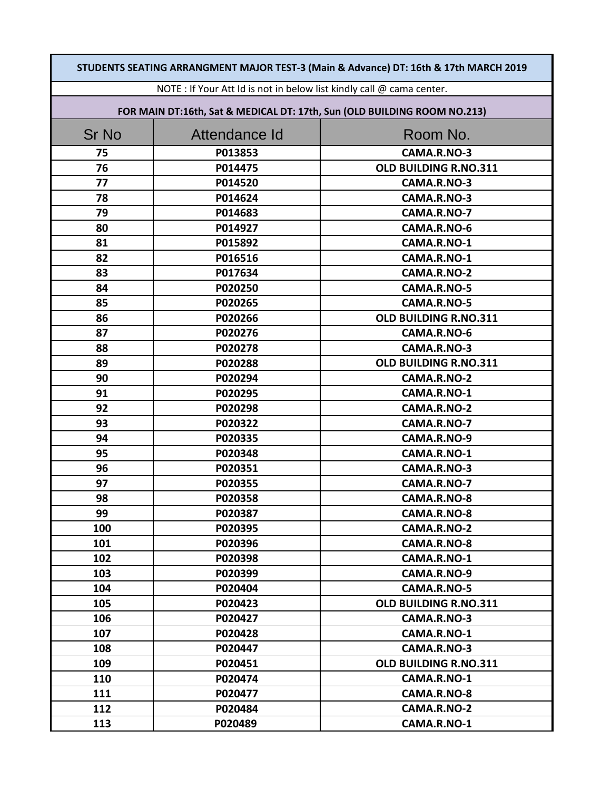| STUDENTS SEATING ARRANGMENT MAJOR TEST-3 (Main & Advance) DT: 16th & 17th MARCH 2019 |               |                       |
|--------------------------------------------------------------------------------------|---------------|-----------------------|
| NOTE : If Your Att Id is not in below list kindly call @ cama center.                |               |                       |
| FOR MAIN DT:16th, Sat & MEDICAL DT: 17th, Sun (OLD BUILDING ROOM NO.213)             |               |                       |
| <b>Sr No</b>                                                                         | Attendance Id | Room No.              |
| 75                                                                                   | P013853       | CAMA.R.NO-3           |
| 76                                                                                   | P014475       | OLD BUILDING R.NO.311 |
| 77                                                                                   | P014520       | CAMA.R.NO-3           |
| 78                                                                                   | P014624       | CAMA.R.NO-3           |
| 79                                                                                   | P014683       | CAMA.R.NO-7           |
| 80                                                                                   | P014927       | CAMA.R.NO-6           |
| 81                                                                                   | P015892       | CAMA.R.NO-1           |
| 82                                                                                   | P016516       | CAMA.R.NO-1           |
| 83                                                                                   | P017634       | CAMA.R.NO-2           |
| 84                                                                                   | P020250       | CAMA.R.NO-5           |
| 85                                                                                   | P020265       | CAMA.R.NO-5           |
| 86                                                                                   | P020266       | OLD BUILDING R.NO.311 |
| 87                                                                                   | P020276       | CAMA.R.NO-6           |
| 88                                                                                   | P020278       | CAMA.R.NO-3           |
| 89                                                                                   | P020288       | OLD BUILDING R.NO.311 |
| 90                                                                                   | P020294       | CAMA.R.NO-2           |
| 91                                                                                   | P020295       | CAMA.R.NO-1           |
| 92                                                                                   | P020298       | CAMA.R.NO-2           |
| 93                                                                                   | P020322       | CAMA.R.NO-7           |
| 94                                                                                   | P020335       | CAMA.R.NO-9           |
| 95                                                                                   | P020348       | CAMA.R.NO-1           |
| 96                                                                                   | P020351       | CAMA.R.NO-3           |
| 97                                                                                   | P020355       | CAMA.R.NO-7           |
| 98                                                                                   | P020358       | CAMA.R.NO-8           |
| 99                                                                                   | P020387       | CAMA.R.NO-8           |
| 100                                                                                  | P020395       | CAMA.R.NO-2           |
| 101                                                                                  | P020396       | CAMA.R.NO-8           |
| 102                                                                                  | P020398       | CAMA.R.NO-1           |
| 103                                                                                  | P020399       | CAMA.R.NO-9           |
| 104                                                                                  | P020404       | CAMA.R.NO-5           |
| 105                                                                                  | P020423       | OLD BUILDING R.NO.311 |
| 106                                                                                  | P020427       | CAMA.R.NO-3           |
| 107                                                                                  | P020428       | CAMA.R.NO-1           |
| 108                                                                                  | P020447       | CAMA.R.NO-3           |
| 109                                                                                  | P020451       | OLD BUILDING R.NO.311 |
| 110                                                                                  | P020474       | CAMA.R.NO-1           |
| 111                                                                                  | P020477       | CAMA.R.NO-8           |
| 112                                                                                  | P020484       | CAMA.R.NO-2           |
| 113                                                                                  | P020489       | CAMA.R.NO-1           |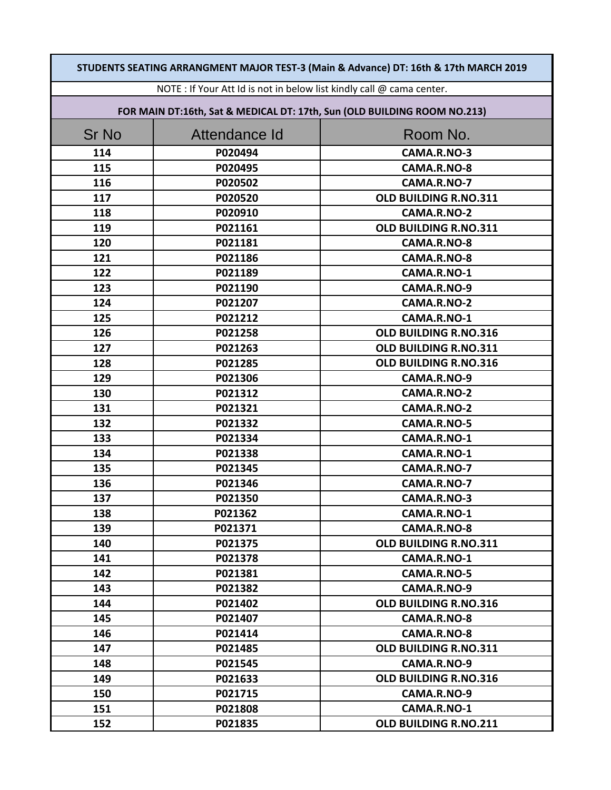| STUDENTS SEATING ARRANGMENT MAJOR TEST-3 (Main & Advance) DT: 16th & 17th MARCH 2019 |               |                                                                          |
|--------------------------------------------------------------------------------------|---------------|--------------------------------------------------------------------------|
| NOTE : If Your Att Id is not in below list kindly call @ cama center.                |               |                                                                          |
|                                                                                      |               | FOR MAIN DT:16th, Sat & MEDICAL DT: 17th, Sun (OLD BUILDING ROOM NO.213) |
| <b>Sr No</b>                                                                         | Attendance Id | Room No.                                                                 |
| 114                                                                                  | P020494       | CAMA.R.NO-3                                                              |
| 115                                                                                  | P020495       | CAMA.R.NO-8                                                              |
| 116                                                                                  | P020502       | CAMA.R.NO-7                                                              |
| 117                                                                                  | P020520       | OLD BUILDING R.NO.311                                                    |
| 118                                                                                  | P020910       | CAMA.R.NO-2                                                              |
| 119                                                                                  | P021161       | OLD BUILDING R.NO.311                                                    |
| 120                                                                                  | P021181       | CAMA.R.NO-8                                                              |
| 121                                                                                  | P021186       | CAMA.R.NO-8                                                              |
| 122                                                                                  | P021189       | CAMA.R.NO-1                                                              |
| 123                                                                                  | P021190       | CAMA.R.NO-9                                                              |
| 124                                                                                  | P021207       | CAMA.R.NO-2                                                              |
| 125                                                                                  | P021212       | CAMA.R.NO-1                                                              |
| 126                                                                                  | P021258       | OLD BUILDING R.NO.316                                                    |
| 127                                                                                  | P021263       | OLD BUILDING R.NO.311                                                    |
| 128                                                                                  | P021285       | OLD BUILDING R.NO.316                                                    |
| 129                                                                                  | P021306       | CAMA.R.NO-9                                                              |
| 130                                                                                  | P021312       | CAMA.R.NO-2                                                              |
| 131                                                                                  | P021321       | CAMA.R.NO-2                                                              |
| 132                                                                                  | P021332       | CAMA.R.NO-5                                                              |
| 133                                                                                  | P021334       | CAMA.R.NO-1                                                              |
| 134                                                                                  | P021338       | CAMA.R.NO-1                                                              |
| 135                                                                                  | P021345       | CAMA.R.NO-7                                                              |
| 136                                                                                  | P021346       | CAMA.R.NO-7                                                              |
| 137                                                                                  | P021350       | CAMA.R.NO-3                                                              |
| 138                                                                                  | P021362       | CAMA.R.NO-1                                                              |
| 139                                                                                  | P021371       | CAMA.R.NO-8                                                              |
| 140                                                                                  | P021375       | OLD BUILDING R.NO.311                                                    |
| 141                                                                                  | P021378       | CAMA.R.NO-1                                                              |
| 142                                                                                  | P021381       | CAMA.R.NO-5                                                              |
| 143                                                                                  | P021382       | CAMA.R.NO-9                                                              |
| 144                                                                                  | P021402       | OLD BUILDING R.NO.316                                                    |
| 145                                                                                  | P021407       | CAMA.R.NO-8                                                              |
| 146                                                                                  | P021414       | CAMA.R.NO-8                                                              |
| 147                                                                                  | P021485       | OLD BUILDING R.NO.311                                                    |
| 148                                                                                  | P021545       | CAMA.R.NO-9                                                              |
| 149                                                                                  | P021633       | OLD BUILDING R.NO.316                                                    |
| 150                                                                                  | P021715       | CAMA.R.NO-9                                                              |
| 151                                                                                  | P021808       | CAMA.R.NO-1                                                              |
| 152                                                                                  | P021835       | OLD BUILDING R.NO.211                                                    |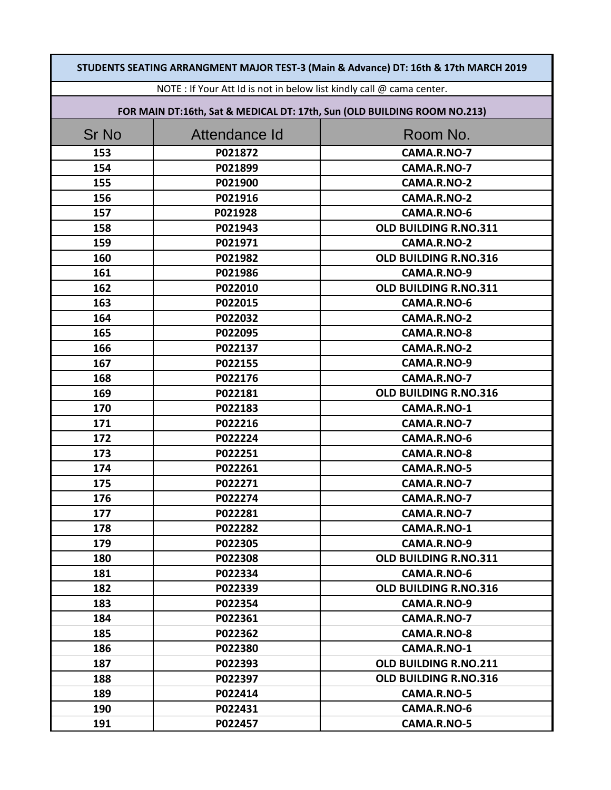| STUDENTS SEATING ARRANGMENT MAJOR TEST-3 (Main & Advance) DT: 16th & 17th MARCH 2019 |                                                                          |                       |  |
|--------------------------------------------------------------------------------------|--------------------------------------------------------------------------|-----------------------|--|
| NOTE : If Your Att Id is not in below list kindly call @ cama center.                |                                                                          |                       |  |
|                                                                                      | FOR MAIN DT:16th, Sat & MEDICAL DT: 17th, Sun (OLD BUILDING ROOM NO.213) |                       |  |
| <b>Sr No</b>                                                                         | Attendance Id                                                            | Room No.              |  |
| 153                                                                                  | P021872                                                                  | CAMA.R.NO-7           |  |
| 154                                                                                  | P021899                                                                  | CAMA.R.NO-7           |  |
| 155                                                                                  | P021900                                                                  | CAMA.R.NO-2           |  |
| 156                                                                                  | P021916                                                                  | CAMA.R.NO-2           |  |
| 157                                                                                  | P021928                                                                  | CAMA.R.NO-6           |  |
| 158                                                                                  | P021943                                                                  | OLD BUILDING R.NO.311 |  |
| 159                                                                                  | P021971                                                                  | CAMA.R.NO-2           |  |
| 160                                                                                  | P021982                                                                  | OLD BUILDING R.NO.316 |  |
| 161                                                                                  | P021986                                                                  | CAMA.R.NO-9           |  |
| 162                                                                                  | P022010                                                                  | OLD BUILDING R.NO.311 |  |
| 163                                                                                  | P022015                                                                  | CAMA.R.NO-6           |  |
| 164                                                                                  | P022032                                                                  | CAMA.R.NO-2           |  |
| 165                                                                                  | P022095                                                                  | CAMA.R.NO-8           |  |
| 166                                                                                  | P022137                                                                  | CAMA.R.NO-2           |  |
| 167                                                                                  | P022155                                                                  | CAMA.R.NO-9           |  |
| 168                                                                                  | P022176                                                                  | CAMA.R.NO-7           |  |
| 169                                                                                  | P022181                                                                  | OLD BUILDING R.NO.316 |  |
| 170                                                                                  | P022183                                                                  | CAMA.R.NO-1           |  |
| 171                                                                                  | P022216                                                                  | CAMA.R.NO-7           |  |
| 172                                                                                  | P022224                                                                  | CAMA.R.NO-6           |  |
| 173                                                                                  | P022251                                                                  | CAMA.R.NO-8           |  |
| 174                                                                                  | P022261                                                                  | CAMA.R.NO-5           |  |
| 175                                                                                  | P022271                                                                  | CAMA.R.NO-7           |  |
| 176                                                                                  | P022274                                                                  | CAMA.R.NO-7           |  |
| 177                                                                                  | P022281                                                                  | CAMA.R.NO-7           |  |
| 178                                                                                  | P022282                                                                  | CAMA.R.NO-1           |  |
| 179                                                                                  | P022305                                                                  | CAMA.R.NO-9           |  |
| 180                                                                                  | P022308                                                                  | OLD BUILDING R.NO.311 |  |
| 181                                                                                  | P022334                                                                  | CAMA.R.NO-6           |  |
| 182                                                                                  | P022339                                                                  | OLD BUILDING R.NO.316 |  |
| 183                                                                                  | P022354                                                                  | CAMA.R.NO-9           |  |
| 184                                                                                  | P022361                                                                  | CAMA.R.NO-7           |  |
| 185                                                                                  | P022362                                                                  | CAMA.R.NO-8           |  |
| 186                                                                                  | P022380                                                                  | CAMA.R.NO-1           |  |
| 187                                                                                  | P022393                                                                  | OLD BUILDING R.NO.211 |  |
| 188                                                                                  | P022397                                                                  | OLD BUILDING R.NO.316 |  |
| 189                                                                                  | P022414                                                                  | CAMA.R.NO-5           |  |
| 190                                                                                  | P022431                                                                  | CAMA.R.NO-6           |  |
| 191                                                                                  | P022457                                                                  | CAMA.R.NO-5           |  |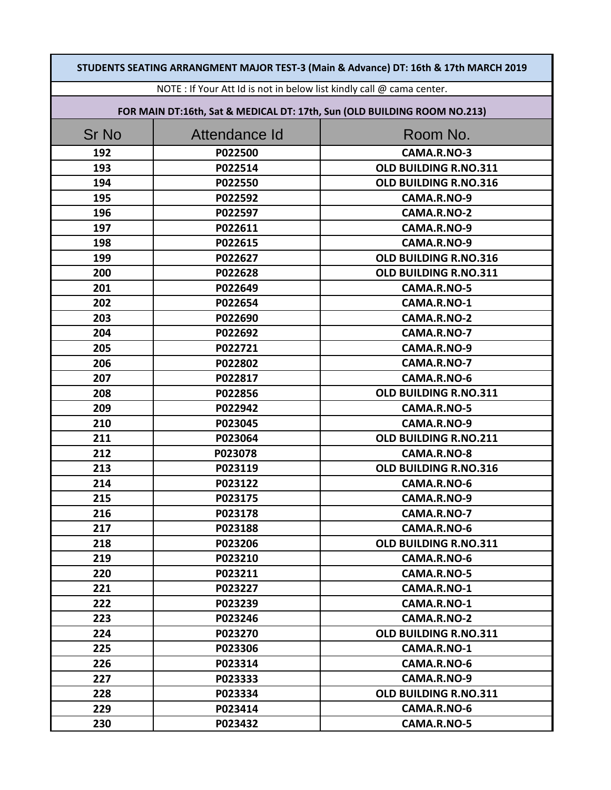| STUDENTS SEATING ARRANGMENT MAJOR TEST-3 (Main & Advance) DT: 16th & 17th MARCH 2019 |                                                                          |                       |  |
|--------------------------------------------------------------------------------------|--------------------------------------------------------------------------|-----------------------|--|
| NOTE : If Your Att Id is not in below list kindly call @ cama center.                |                                                                          |                       |  |
|                                                                                      | FOR MAIN DT:16th, Sat & MEDICAL DT: 17th, Sun (OLD BUILDING ROOM NO.213) |                       |  |
| <b>Sr No</b>                                                                         | Attendance Id                                                            | Room No.              |  |
| 192                                                                                  | P022500                                                                  | CAMA.R.NO-3           |  |
| 193                                                                                  | P022514                                                                  | OLD BUILDING R.NO.311 |  |
| 194                                                                                  | P022550                                                                  | OLD BUILDING R.NO.316 |  |
| 195                                                                                  | P022592                                                                  | CAMA.R.NO-9           |  |
| 196                                                                                  | P022597                                                                  | CAMA.R.NO-2           |  |
| 197                                                                                  | P022611                                                                  | CAMA.R.NO-9           |  |
| 198                                                                                  | P022615                                                                  | CAMA.R.NO-9           |  |
| 199                                                                                  | P022627                                                                  | OLD BUILDING R.NO.316 |  |
| 200                                                                                  | P022628                                                                  | OLD BUILDING R.NO.311 |  |
| 201                                                                                  | P022649                                                                  | CAMA.R.NO-5           |  |
| 202                                                                                  | P022654                                                                  | CAMA.R.NO-1           |  |
| 203                                                                                  | P022690                                                                  | CAMA.R.NO-2           |  |
| 204                                                                                  | P022692                                                                  | CAMA.R.NO-7           |  |
| 205                                                                                  | P022721                                                                  | CAMA.R.NO-9           |  |
| 206                                                                                  | P022802                                                                  | CAMA.R.NO-7           |  |
| 207                                                                                  | P022817                                                                  | CAMA.R.NO-6           |  |
| 208                                                                                  | P022856                                                                  | OLD BUILDING R.NO.311 |  |
| 209                                                                                  | P022942                                                                  | CAMA.R.NO-5           |  |
| 210                                                                                  | P023045                                                                  | CAMA.R.NO-9           |  |
| 211                                                                                  | P023064                                                                  | OLD BUILDING R.NO.211 |  |
| 212                                                                                  | P023078                                                                  | CAMA.R.NO-8           |  |
| 213                                                                                  | P023119                                                                  | OLD BUILDING R.NO.316 |  |
| 214                                                                                  | P023122                                                                  | CAMA.R.NO-6           |  |
| 215                                                                                  | P023175                                                                  | CAMA.R.NO-9           |  |
| 216                                                                                  | P023178                                                                  | CAMA.R.NO-7           |  |
| 217                                                                                  | P023188                                                                  | CAMA.R.NO-6           |  |
| 218                                                                                  | P023206                                                                  | OLD BUILDING R.NO.311 |  |
| 219                                                                                  | P023210                                                                  | CAMA.R.NO-6           |  |
| 220                                                                                  | P023211                                                                  | CAMA.R.NO-5           |  |
| 221                                                                                  | P023227                                                                  | CAMA.R.NO-1           |  |
| 222                                                                                  | P023239                                                                  | CAMA.R.NO-1           |  |
| 223                                                                                  | P023246                                                                  | CAMA.R.NO-2           |  |
| 224                                                                                  | P023270                                                                  | OLD BUILDING R.NO.311 |  |
| 225                                                                                  | P023306                                                                  | CAMA.R.NO-1           |  |
| 226                                                                                  | P023314                                                                  | CAMA.R.NO-6           |  |
| 227                                                                                  | P023333                                                                  | CAMA.R.NO-9           |  |
| 228                                                                                  | P023334                                                                  | OLD BUILDING R.NO.311 |  |
| 229                                                                                  | P023414                                                                  | CAMA.R.NO-6           |  |
| 230                                                                                  | P023432                                                                  | CAMA.R.NO-5           |  |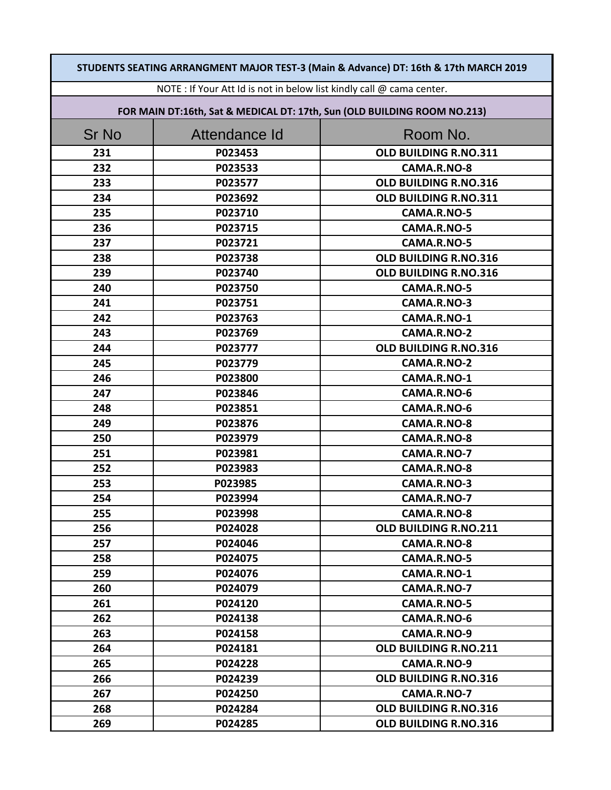| STUDENTS SEATING ARRANGMENT MAJOR TEST-3 (Main & Advance) DT: 16th & 17th MARCH 2019 |                                                                          |                       |  |
|--------------------------------------------------------------------------------------|--------------------------------------------------------------------------|-----------------------|--|
| NOTE : If Your Att Id is not in below list kindly call @ cama center.                |                                                                          |                       |  |
|                                                                                      | FOR MAIN DT:16th, Sat & MEDICAL DT: 17th, Sun (OLD BUILDING ROOM NO.213) |                       |  |
| <b>Sr No</b>                                                                         | Attendance Id                                                            | Room No.              |  |
| 231                                                                                  | P023453                                                                  | OLD BUILDING R.NO.311 |  |
| 232                                                                                  | P023533                                                                  | CAMA.R.NO-8           |  |
| 233                                                                                  | P023577                                                                  | OLD BUILDING R.NO.316 |  |
| 234                                                                                  | P023692                                                                  | OLD BUILDING R.NO.311 |  |
| 235                                                                                  | P023710                                                                  | CAMA.R.NO-5           |  |
| 236                                                                                  | P023715                                                                  | CAMA.R.NO-5           |  |
| 237                                                                                  | P023721                                                                  | CAMA.R.NO-5           |  |
| 238                                                                                  | P023738                                                                  | OLD BUILDING R.NO.316 |  |
| 239                                                                                  | P023740                                                                  | OLD BUILDING R.NO.316 |  |
| 240                                                                                  | P023750                                                                  | CAMA.R.NO-5           |  |
| 241                                                                                  | P023751                                                                  | CAMA.R.NO-3           |  |
| 242                                                                                  | P023763                                                                  | CAMA.R.NO-1           |  |
| 243                                                                                  | P023769                                                                  | CAMA.R.NO-2           |  |
| 244                                                                                  | P023777                                                                  | OLD BUILDING R.NO.316 |  |
| 245                                                                                  | P023779                                                                  | CAMA.R.NO-2           |  |
| 246                                                                                  | P023800                                                                  | CAMA.R.NO-1           |  |
| 247                                                                                  | P023846                                                                  | CAMA.R.NO-6           |  |
| 248                                                                                  | P023851                                                                  | CAMA.R.NO-6           |  |
| 249                                                                                  | P023876                                                                  | CAMA.R.NO-8           |  |
| 250                                                                                  | P023979                                                                  | CAMA.R.NO-8           |  |
| 251                                                                                  | P023981                                                                  | CAMA.R.NO-7           |  |
| 252                                                                                  | P023983                                                                  | CAMA.R.NO-8           |  |
| 253                                                                                  | P023985                                                                  | CAMA.R.NO-3           |  |
| 254                                                                                  | P023994                                                                  | CAMA.R.NO-7           |  |
| 255                                                                                  | P023998                                                                  | CAMA.R.NO-8           |  |
| 256                                                                                  | P024028                                                                  | OLD BUILDING R.NO.211 |  |
| 257                                                                                  | P024046                                                                  | CAMA.R.NO-8           |  |
| 258                                                                                  | P024075                                                                  | CAMA.R.NO-5           |  |
| 259                                                                                  | P024076                                                                  | CAMA.R.NO-1           |  |
| 260                                                                                  | P024079                                                                  | CAMA.R.NO-7           |  |
| 261                                                                                  | P024120                                                                  | CAMA.R.NO-5           |  |
| 262                                                                                  | P024138                                                                  | CAMA.R.NO-6           |  |
| 263                                                                                  | P024158                                                                  | CAMA.R.NO-9           |  |
| 264                                                                                  | P024181                                                                  | OLD BUILDING R.NO.211 |  |
| 265                                                                                  | P024228                                                                  | CAMA.R.NO-9           |  |
| 266                                                                                  | P024239                                                                  | OLD BUILDING R.NO.316 |  |
| 267                                                                                  | P024250                                                                  | CAMA.R.NO-7           |  |
| 268                                                                                  | P024284                                                                  | OLD BUILDING R.NO.316 |  |
| 269                                                                                  | P024285                                                                  | OLD BUILDING R.NO.316 |  |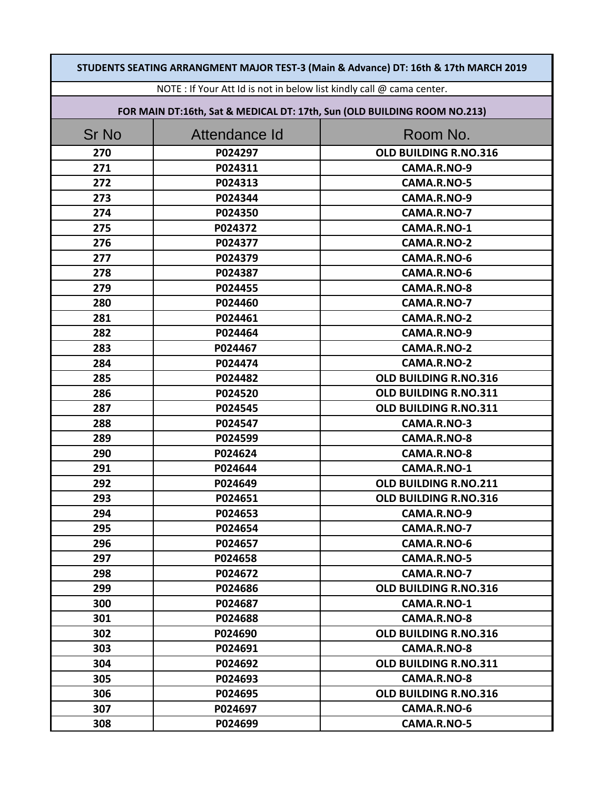| STUDENTS SEATING ARRANGMENT MAJOR TEST-3 (Main & Advance) DT: 16th & 17th MARCH 2019 |               |                                                                          |
|--------------------------------------------------------------------------------------|---------------|--------------------------------------------------------------------------|
| NOTE : If Your Att Id is not in below list kindly call @ cama center.                |               |                                                                          |
|                                                                                      |               | FOR MAIN DT:16th, Sat & MEDICAL DT: 17th, Sun (OLD BUILDING ROOM NO.213) |
| <b>Sr No</b>                                                                         | Attendance Id | Room No.                                                                 |
| 270                                                                                  | P024297       | OLD BUILDING R.NO.316                                                    |
| 271                                                                                  | P024311       | CAMA.R.NO-9                                                              |
| 272                                                                                  | P024313       | CAMA.R.NO-5                                                              |
| 273                                                                                  | P024344       | CAMA.R.NO-9                                                              |
| 274                                                                                  | P024350       | CAMA.R.NO-7                                                              |
| 275                                                                                  | P024372       | CAMA.R.NO-1                                                              |
| 276                                                                                  | P024377       | CAMA.R.NO-2                                                              |
| 277                                                                                  | P024379       | CAMA.R.NO-6                                                              |
| 278                                                                                  | P024387       | CAMA.R.NO-6                                                              |
| 279                                                                                  | P024455       | CAMA.R.NO-8                                                              |
| 280                                                                                  | P024460       | CAMA.R.NO-7                                                              |
| 281                                                                                  | P024461       | CAMA.R.NO-2                                                              |
| 282                                                                                  | P024464       | CAMA.R.NO-9                                                              |
| 283                                                                                  | P024467       | CAMA.R.NO-2                                                              |
| 284                                                                                  | P024474       | CAMA.R.NO-2                                                              |
| 285                                                                                  | P024482       | OLD BUILDING R.NO.316                                                    |
| 286                                                                                  | P024520       | OLD BUILDING R.NO.311                                                    |
| 287                                                                                  | P024545       | OLD BUILDING R.NO.311                                                    |
| 288                                                                                  | P024547       | CAMA.R.NO-3                                                              |
| 289                                                                                  | P024599       | CAMA.R.NO-8                                                              |
| 290                                                                                  | P024624       | CAMA.R.NO-8                                                              |
| 291                                                                                  | P024644       | CAMA.R.NO-1                                                              |
| 292                                                                                  | P024649       | OLD BUILDING R.NO.211                                                    |
| 293                                                                                  | P024651       | OLD BUILDING R.NO.316                                                    |
| 294                                                                                  | P024653       | CAMA.R.NO-9                                                              |
| 295                                                                                  | P024654       | CAMA.R.NO-7                                                              |
| 296                                                                                  | P024657       | CAMA.R.NO-6                                                              |
| 297                                                                                  | P024658       | CAMA.R.NO-5                                                              |
| 298                                                                                  | P024672       | CAMA.R.NO-7                                                              |
| 299                                                                                  | P024686       | OLD BUILDING R.NO.316                                                    |
| 300                                                                                  | P024687       | CAMA.R.NO-1                                                              |
| 301                                                                                  | P024688       | CAMA.R.NO-8                                                              |
| 302                                                                                  | P024690       | <b>OLD BUILDING R.NO.316</b>                                             |
| 303                                                                                  | P024691       | CAMA.R.NO-8                                                              |
| 304                                                                                  | P024692       | OLD BUILDING R.NO.311                                                    |
| 305                                                                                  | P024693       | CAMA.R.NO-8                                                              |
| 306                                                                                  | P024695       | OLD BUILDING R.NO.316                                                    |
| 307                                                                                  | P024697       | CAMA.R.NO-6                                                              |
| 308                                                                                  | P024699       | CAMA.R.NO-5                                                              |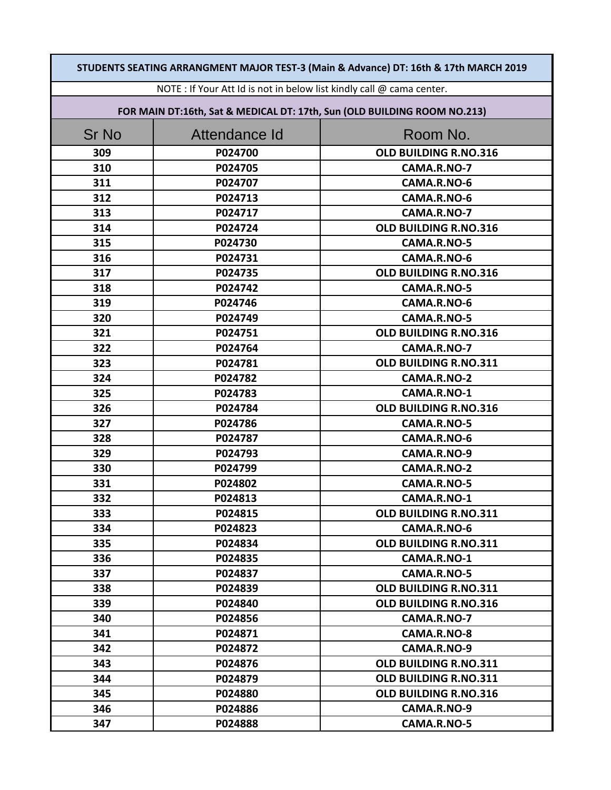| STUDENTS SEATING ARRANGMENT MAJOR TEST-3 (Main & Advance) DT: 16th & 17th MARCH 2019 |                                                                          |                       |  |
|--------------------------------------------------------------------------------------|--------------------------------------------------------------------------|-----------------------|--|
|                                                                                      | NOTE : If Your Att Id is not in below list kindly call @ cama center.    |                       |  |
|                                                                                      | FOR MAIN DT:16th, Sat & MEDICAL DT: 17th, Sun (OLD BUILDING ROOM NO.213) |                       |  |
| Sr No                                                                                | Attendance Id                                                            | Room No.              |  |
| 309                                                                                  | P024700                                                                  | OLD BUILDING R.NO.316 |  |
| 310                                                                                  | P024705                                                                  | CAMA.R.NO-7           |  |
| 311                                                                                  | P024707                                                                  | CAMA.R.NO-6           |  |
| 312                                                                                  | P024713                                                                  | CAMA.R.NO-6           |  |
| 313                                                                                  | P024717                                                                  | CAMA.R.NO-7           |  |
| 314                                                                                  | P024724                                                                  | OLD BUILDING R.NO.316 |  |
| 315                                                                                  | P024730                                                                  | CAMA.R.NO-5           |  |
| 316                                                                                  | P024731                                                                  | CAMA.R.NO-6           |  |
| 317                                                                                  | P024735                                                                  | OLD BUILDING R.NO.316 |  |
| 318                                                                                  | P024742                                                                  | CAMA.R.NO-5           |  |
| 319                                                                                  | P024746                                                                  | CAMA.R.NO-6           |  |
| 320                                                                                  | P024749                                                                  | CAMA.R.NO-5           |  |
| 321                                                                                  | P024751                                                                  | OLD BUILDING R.NO.316 |  |
| 322                                                                                  | P024764                                                                  | CAMA.R.NO-7           |  |
| 323                                                                                  | P024781                                                                  | OLD BUILDING R.NO.311 |  |
| 324                                                                                  | P024782                                                                  | CAMA.R.NO-2           |  |
| 325                                                                                  | P024783                                                                  | CAMA.R.NO-1           |  |
| 326                                                                                  | P024784                                                                  | OLD BUILDING R.NO.316 |  |
| 327                                                                                  | P024786                                                                  | CAMA.R.NO-5           |  |
| 328                                                                                  | P024787                                                                  | CAMA.R.NO-6           |  |
| 329                                                                                  | P024793                                                                  | CAMA.R.NO-9           |  |
| 330                                                                                  | P024799                                                                  | CAMA.R.NO-2           |  |
| 331                                                                                  | P024802                                                                  | CAMA.R.NO-5           |  |
| 332                                                                                  | P024813                                                                  | CAMA.R.NO-1           |  |
| 333                                                                                  | P024815                                                                  | OLD BUILDING R.NO.311 |  |
| 334                                                                                  | P024823                                                                  | CAMA.R.NO-6           |  |
| 335                                                                                  | P024834                                                                  | OLD BUILDING R.NO.311 |  |
| 336                                                                                  | P024835                                                                  | CAMA.R.NO-1           |  |
| 337                                                                                  | P024837                                                                  | CAMA.R.NO-5           |  |
| 338                                                                                  | P024839                                                                  | OLD BUILDING R.NO.311 |  |
| 339                                                                                  | P024840                                                                  | OLD BUILDING R.NO.316 |  |
| 340                                                                                  | P024856                                                                  | CAMA.R.NO-7           |  |
| 341                                                                                  | P024871                                                                  | CAMA.R.NO-8           |  |
| 342                                                                                  | P024872                                                                  | CAMA.R.NO-9           |  |
| 343                                                                                  | P024876                                                                  | OLD BUILDING R.NO.311 |  |
| 344                                                                                  | P024879                                                                  | OLD BUILDING R.NO.311 |  |
| 345                                                                                  | P024880                                                                  | OLD BUILDING R.NO.316 |  |
| 346                                                                                  | P024886                                                                  | CAMA.R.NO-9           |  |
| 347                                                                                  | P024888                                                                  | CAMA.R.NO-5           |  |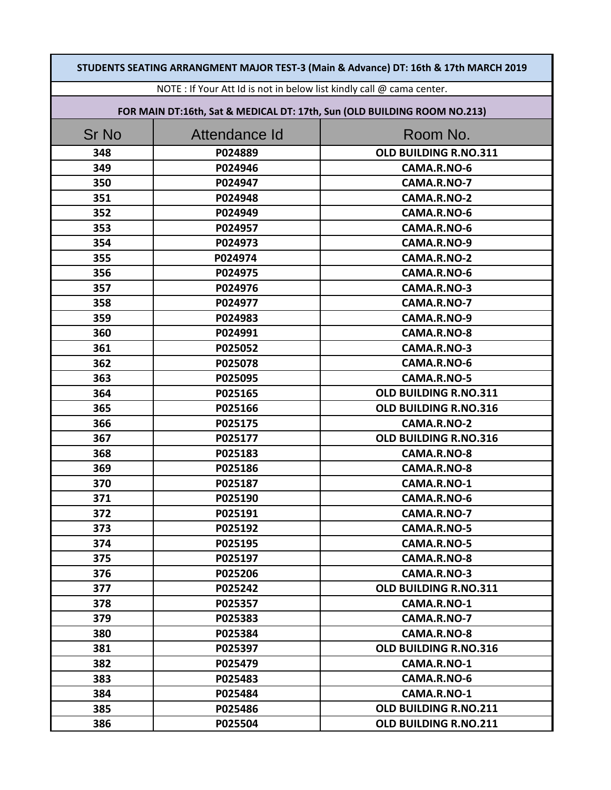| STUDENTS SEATING ARRANGMENT MAJOR TEST-3 (Main & Advance) DT: 16th & 17th MARCH 2019 |                                                                          |                       |  |
|--------------------------------------------------------------------------------------|--------------------------------------------------------------------------|-----------------------|--|
| NOTE : If Your Att Id is not in below list kindly call @ cama center.                |                                                                          |                       |  |
|                                                                                      | FOR MAIN DT:16th, Sat & MEDICAL DT: 17th, Sun (OLD BUILDING ROOM NO.213) |                       |  |
| <b>Sr No</b>                                                                         | Attendance Id                                                            | Room No.              |  |
| 348                                                                                  | P024889                                                                  | OLD BUILDING R.NO.311 |  |
| 349                                                                                  | P024946                                                                  | CAMA.R.NO-6           |  |
| 350                                                                                  | P024947                                                                  | CAMA.R.NO-7           |  |
| 351                                                                                  | P024948                                                                  | CAMA.R.NO-2           |  |
| 352                                                                                  | P024949                                                                  | CAMA.R.NO-6           |  |
| 353                                                                                  | P024957                                                                  | CAMA.R.NO-6           |  |
| 354                                                                                  | P024973                                                                  | CAMA.R.NO-9           |  |
| 355                                                                                  | P024974                                                                  | CAMA.R.NO-2           |  |
| 356                                                                                  | P024975                                                                  | CAMA.R.NO-6           |  |
| 357                                                                                  | P024976                                                                  | CAMA.R.NO-3           |  |
| 358                                                                                  | P024977                                                                  | CAMA.R.NO-7           |  |
| 359                                                                                  | P024983                                                                  | CAMA.R.NO-9           |  |
| 360                                                                                  | P024991                                                                  | CAMA.R.NO-8           |  |
| 361                                                                                  | P025052                                                                  | CAMA.R.NO-3           |  |
| 362                                                                                  | P025078                                                                  | CAMA.R.NO-6           |  |
| 363                                                                                  | P025095                                                                  | CAMA.R.NO-5           |  |
| 364                                                                                  | P025165                                                                  | OLD BUILDING R.NO.311 |  |
| 365                                                                                  | P025166                                                                  | OLD BUILDING R.NO.316 |  |
| 366                                                                                  | P025175                                                                  | CAMA.R.NO-2           |  |
| 367                                                                                  | P025177                                                                  | OLD BUILDING R.NO.316 |  |
| 368                                                                                  | P025183                                                                  | CAMA.R.NO-8           |  |
| 369                                                                                  | P025186                                                                  | CAMA.R.NO-8           |  |
| 370                                                                                  | P025187                                                                  | CAMA.R.NO-1           |  |
| 371                                                                                  | P025190                                                                  | CAMA.R.NO-6           |  |
| 372                                                                                  | P025191                                                                  | CAMA.R.NO-7           |  |
| 373                                                                                  | P025192                                                                  | CAMA.R.NO-5           |  |
| 374                                                                                  | P025195                                                                  | CAMA.R.NO-5           |  |
| 375                                                                                  | P025197                                                                  | CAMA.R.NO-8           |  |
| 376                                                                                  | P025206                                                                  | CAMA.R.NO-3           |  |
| 377                                                                                  | P025242                                                                  | OLD BUILDING R.NO.311 |  |
| 378                                                                                  | P025357                                                                  | CAMA.R.NO-1           |  |
| 379                                                                                  | P025383                                                                  | CAMA.R.NO-7           |  |
| 380                                                                                  | P025384                                                                  | CAMA.R.NO-8           |  |
| 381                                                                                  | P025397                                                                  | OLD BUILDING R.NO.316 |  |
| 382                                                                                  | P025479                                                                  | CAMA.R.NO-1           |  |
| 383                                                                                  | P025483                                                                  | CAMA.R.NO-6           |  |
| 384                                                                                  | P025484                                                                  | CAMA.R.NO-1           |  |
| 385                                                                                  | P025486                                                                  | OLD BUILDING R.NO.211 |  |
| 386                                                                                  | P025504                                                                  | OLD BUILDING R.NO.211 |  |